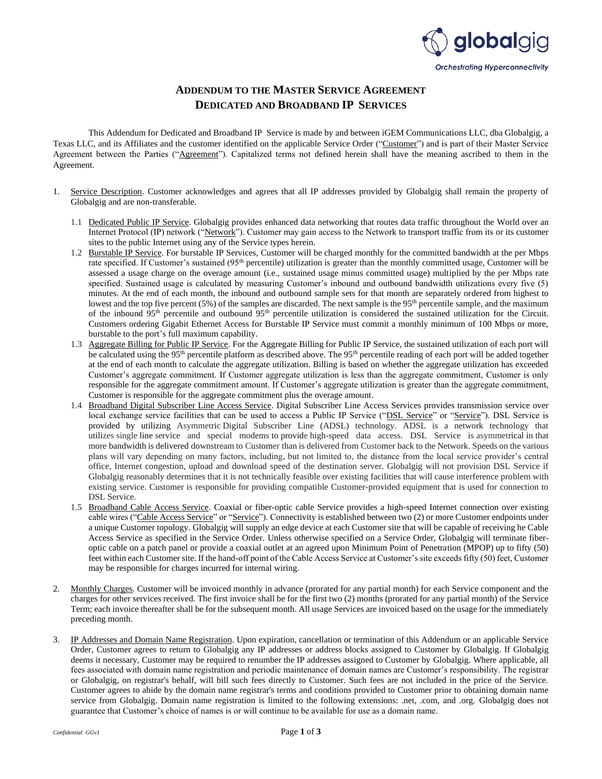

## **ADDENDUM TO THE MASTER SERVICE AGREEMENT DEDICATED AND BROADBAND IP SERVICES**

This Addendum for Dedicated and Broadband IP Service is made by and between iGEM Communications LLC, dba Globalgig, a Texas LLC, and its Affiliates and the customer identified on the applicable Service Order ("Customer") and is part of their Master Service Agreement between the Parties ("Agreement"). Capitalized terms not defined herein shall have the meaning ascribed to them in the Agreement.

- 1. Service Description. Customer acknowledges and agrees that all IP addresses provided by Globalgig shall remain the property of Globalgig and are non-transferable.
	- 1.1 Dedicated Public IP Service. Globalgig provides enhanced data networking that routes data traffic throughout the World over an Internet Protocol (IP) network ("Network"). Customer may gain access to the Network to transport traffic from its or its customer sites to the public Internet using any of the Service types herein.
	- 1.2 Burstable IP Service. For burstable IP Services, Customer will be charged monthly for the committed bandwidth at the per Mbps rate specified. If Customer's sustained (95<sup>th</sup> percentile) utilization is greater than the monthly committed usage, Customer will be assessed a usage charge on the overage amount (i.e., sustained usage minus committed usage) multiplied by the per Mbps rate specified. Sustained usage is calculated by measuring Customer's inbound and outbound bandwidth utilizations every five (5) minutes. At the end of each month, the inbound and outbound sample sets for that month are separately ordered from highest to lowest and the top five percent (5%) of the samples are discarded. The next sample is the 95<sup>th</sup> percentile sample, and the maximum of the inbound 95th percentile and outbound 95th percentile utilization is considered the sustained utilization for the Circuit. Customers ordering Gigabit Ethernet Access for Burstable IP Service must commit a monthly minimum of 100 Mbps or more, burstable to the port's full maximum capability.
	- 1.3 Aggregate Billing for Public IP Service. For the Aggregate Billing for Public IP Service, the sustained utilization of each port will be calculated using the 95<sup>th</sup> percentile platform as described above. The 95<sup>th</sup> percentile reading of each port will be added together at the end of each month to calculate the aggregate utilization. Billing is based on whether the aggregate utilization has exceeded Customer's aggregate commitment. If Customer aggregate utilization is less than the aggregate commitment, Customer is only responsible for the aggregate commitment amount. If Customer's aggregate utilization is greater than the aggregate commitment, Customer is responsible for the aggregate commitment plus the overage amount.
	- 1.4 Broadband Digital Subscriber Line Access Service. Digital Subscriber Line Access Services provides transmission service over local exchange service facilities that can be used to access a Public IP Service ("DSL Service" or "Service"). DSL Service is provided by utilizing Asymmetric Digital Subscriber Line (ADSL) technology. ADSL is a network technology that utilizes single line service and special modems to provide high-speed data access. DSL Service is asymmetrical in that more bandwidth is delivered downstream to Customer than is delivered from Customer back to the Network. Speeds on the various plans will vary depending on many factors, including, but not limited to, the distance from the local service provider's central office, Internet congestion, upload and download speed of the destination server. Globalgig will not provision DSL Service if Globalgig reasonably determines that it is not technically feasible over existing facilities that will cause interference problem with existing service. Customer is responsible for providing compatible Customer-provided equipment that is used for connection to DSL Service.
	- 1.5 Broadband Cable Access Service. Coaxial or fiber-optic cable Service provides a high-speed Internet connection over existing cable wires ("Cable Access Service" or "Service"). Connectivity is established between two (2) or more Customer endpoints under a unique Customer topology. Globalgig will supply an edge device at each Customer site that will be capable of receiving he Cable Access Service as specified in the Service Order. Unless otherwise specified on a Service Order, Globalgig will terminate fiberoptic cable on a patch panel or provide a coaxial outlet at an agreed upon Minimum Point of Penetration (MPOP) up to fifty (50) feet within each Customer site. If the hand-off point of the Cable Access Service at Customer's site exceeds fifty (50) feet, Customer may be responsible for charges incurred for internal wiring.
- 2. Monthly Charges. Customer will be invoiced monthly in advance (prorated for any partial month) for each Service component and the charges for other services received. The first invoice shall be for the first two (2) months (prorated for any partial month) of the Service Term; each invoice thereafter shall be for the subsequent month. All usage Services are invoiced based on the usage for the immediately preceding month.
- 3. IP Addresses and Domain Name Registration. Upon expiration, cancellation or termination of this Addendum or an applicable Service Order, Customer agrees to return to Globalgig any IP addresses or address blocks assigned to Customer by Globalgig. If Globalgig deems it necessary, Customer may be required to renumber the IP addresses assigned to Customer by Globalgig. Where applicable, all fees associated with domain name registration and periodic maintenance of domain names are Customer's responsibility. The registrar or Globalgig, on registrar's behalf, will bill such fees directly to Customer. Such fees are not included in the price of the Service. Customer agrees to abide by the domain name registrar's terms and conditions provided to Customer prior to obtaining domain name service from Globalgig. Domain name registration is limited to the following extensions: .net, .com, and .org. Globalgig does not guarantee that Customer's choice of names is or will continue to be available for use as a domain name.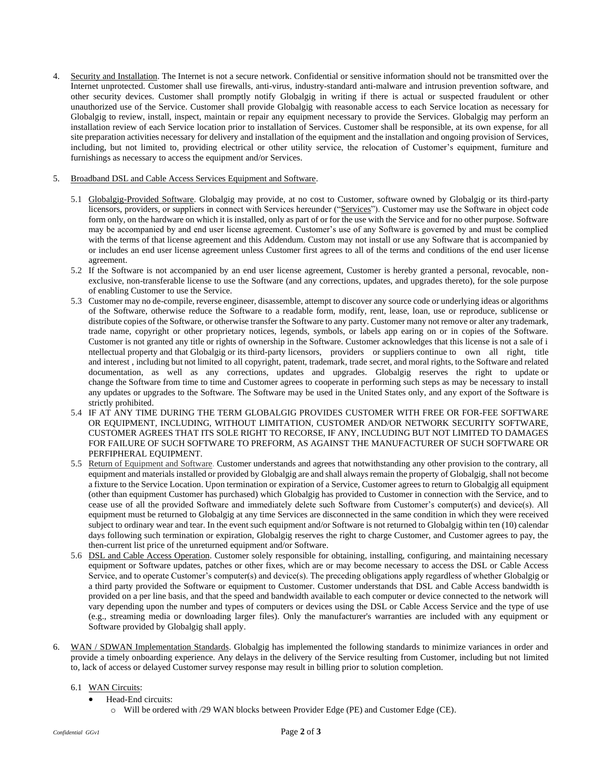4. Security and Installation. The Internet is not a secure network. Confidential or sensitive information should not be transmitted over the Internet unprotected. Customer shall use firewalls, anti-virus, industry-standard anti-malware and intrusion prevention software, and other security devices. Customer shall promptly notify Globalgig in writing if there is actual or suspected fraudulent or other unauthorized use of the Service. Customer shall provide Globalgig with reasonable access to each Service location as necessary for Globalgig to review, install, inspect, maintain or repair any equipment necessary to provide the Services. Globalgig may perform an installation review of each Service location prior to installation of Services. Customer shall be responsible, at its own expense, for all site preparation activities necessary for delivery and installation of the equipment and the installation and ongoing provision of Services, including, but not limited to, providing electrical or other utility service, the relocation of Customer's equipment, furniture and furnishings as necessary to access the equipment and/or Services.

## 5. Broadband DSL and Cable Access Services Equipment and Software.

- 5.1 Globalgig-Provided Software. Globalgig may provide, at no cost to Customer, software owned by Globalgig or its third-party licensors, providers, or suppliers in connect with Services hereunder ("Services"). Customer may use the Software in object code form only, on the hardware on which it is installed, only as part of or for the use with the Service and for no other purpose. Software may be accompanied by and end user license agreement. Customer's use of any Software is governed by and must be complied with the terms of that license agreement and this Addendum. Custom may not install or use any Software that is accompanied by or includes an end user license agreement unless Customer first agrees to all of the terms and conditions of the end user license agreement.
- 5.2 If the Software is not accompanied by an end user license agreement, Customer is hereby granted a personal, revocable, nonexclusive, non-transferable license to use the Software (and any corrections, updates, and upgrades thereto), for the sole purpose of enabling Customer to use the Service.
- 5.3 Customer may no de-compile, reverse engineer, disassemble, attempt to discover any source code or underlying ideas or algorithms of the Software, otherwise reduce the Software to a readable form, modify, rent, lease, loan, use or reproduce, sublicense or distribute copies of the Software, or otherwise transfer the Software to any party. Customer many not remove or alter any trademark, trade name, copyright or other proprietary notices, legends, symbols, or labels app earing on or in copies of the Software. Customer is not granted any title or rights of ownership in the Software. Customer acknowledges that this license is not a sale of i ntellectual property and that Globalgig or its third-party licensors, providers or suppliers continue to own all right, title and interest , including but not limited to all copyright, patent, trademark, trade secret, and moral rights, to the Software and related documentation, as well as any corrections, updates and upgrades. Globalgig reserves the right to update or change the Software from time to time and Customer agrees to cooperate in performing such steps as may be necessary to install any updates or upgrades to the Software. The Software may be used in the United States only, and any export of the Software is strictly prohibited.
- 5.4 IF AT ANY TIME DURING THE TERM GLOBALGIG PROVIDES CUSTOMER WITH FREE OR FOR-FEE SOFTWARE OR EQUIPMENT, INCLUDING, WITHOUT LIMITATION, CUSTOMER AND/OR NETWORK SECURITY SOFTWARE, CUSTOMER AGREES THAT ITS SOLE RIGHT TO RECORSE, IF ANY, INCLUDING BUT NOT LIMITED TO DAMAGES FOR FAILURE OF SUCH SOFTWARE TO PREFORM, AS AGAINST THE MANUFACTURER OF SUCH SOFTWARE OR PERFIPHERAL EQUIPMENT.
- 5.5 Return of Equipment and Software. Customer understands and agrees that notwithstanding any other provision to the contrary, all equipment and materials installed or provided by Globalgig are and shall always remain the property of Globalgig, shall not become a fixture to the Service Location. Upon termination or expiration of a Service, Customer agrees to return to Globalgig all equipment (other than equipment Customer has purchased) which Globalgig has provided to Customer in connection with the Service, and to cease use of all the provided Software and immediately delete such Software from Customer's computer(s) and device(s). All equipment must be returned to Globalgig at any time Services are disconnected in the same condition in which they were received subject to ordinary wear and tear. In the event such equipment and/or Software is not returned to Globalgig within ten (10) calendar days following such termination or expiration, Globalgig reserves the right to charge Customer, and Customer agrees to pay, the then-current list price of the unreturned equipment and/or Software.
- 5.6 DSL and Cable Access Operation. Customer solely responsible for obtaining, installing, configuring, and maintaining necessary equipment or Software updates, patches or other fixes, which are or may become necessary to access the DSL or Cable Access Service, and to operate Customer's computer(s) and device(s). The preceding obligations apply regardless of whether Globalgig or a third party provided the Software or equipment to Customer. Customer understands that DSL and Cable Access bandwidth is provided on a per line basis, and that the speed and bandwidth available to each computer or device connected to the network will vary depending upon the number and types of computers or devices using the DSL or Cable Access Service and the type of use (e.g., streaming media or downloading larger files). Only the manufacturer's warranties are included with any equipment or Software provided by Globalgig shall apply.
- 6. WAN / SDWAN Implementation Standards. Globalgig has implemented the following standards to minimize variances in order and provide a timely onboarding experience. Any delays in the delivery of the Service resulting from Customer, including but not limited to, lack of access or delayed Customer survey response may result in billing prior to solution completion.

## 6.1 WAN Circuits:

- Head-End circuits:
	- o Will be ordered with /29 WAN blocks between Provider Edge (PE) and Customer Edge (CE).